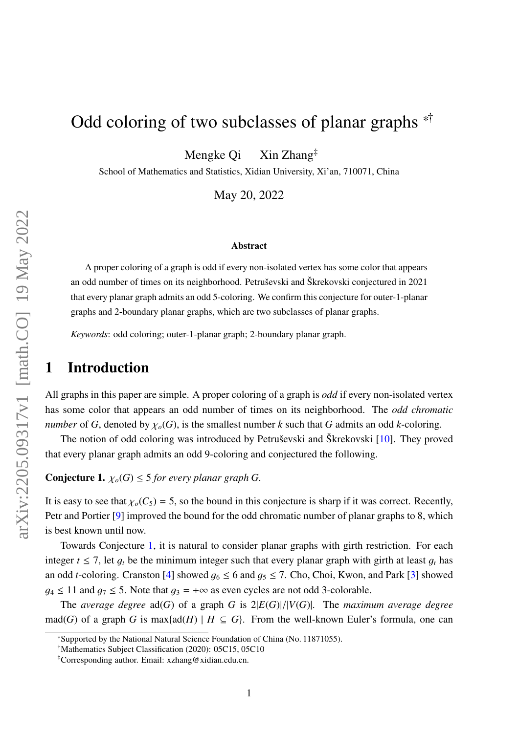# Odd coloring of two subclasses of planar graphs  $*$

Mengke Qi Xin Zhang‡

School of Mathematics and Statistics, Xidian University, Xi'an, 710071, China

May 20, 2022

#### Abstract

A proper coloring of a graph is odd if every non-isolated vertex has some color that appears an odd number of times on its neighborhood. Petruševski and Škrekovski conjectured in 2021 that every planar graph admits an odd 5-coloring. We confirm this conjecture for outer-1-planar graphs and 2-boundary planar graphs, which are two subclasses of planar graphs.

*Keywords*: odd coloring; outer-1-planar graph; 2-boundary planar graph.

## 1 Introduction

All graphs in this paper are simple. A proper coloring of a graph is *odd* if every non-isolated vertex has some color that appears an odd number of times on its neighborhood. The *odd chromatic number* of *G*, denoted by  $\chi_o(G)$ , is the smallest number *k* such that *G* admits an odd *k*-coloring.

The notion of odd coloring was introduced by Petruševski and Škrekovski [\[10\]](#page-10-0). They proved that every planar graph admits an odd 9-coloring and conjectured the following.

<span id="page-0-0"></span>**Conjecture 1.**  $\chi_o(G) \leq 5$  for every planar graph G.

It is easy to see that  $\chi_o(C_5) = 5$ , so the bound in this conjecture is sharp if it was correct. Recently, Petr and Portier [\[9\]](#page-10-1) improved the bound for the odd chromatic number of planar graphs to 8, which is best known until now.

Towards Conjecture [1,](#page-0-0) it is natural to consider planar graphs with girth restriction. For each integer  $t \le 7$ , let  $g_t$  be the minimum integer such that every planar graph with girth at least  $g_t$  has an odd *t*-coloring. Cranston [\[4\]](#page-9-0) showed  $g_6 \le 6$  and  $g_5 \le 7$ . Cho, Choi, Kwon, and Park [\[3\]](#page-9-1) showed  $g_4 \le 11$  and  $g_7 \le 5$ . Note that  $g_3 = +\infty$  as even cycles are not odd 3-colorable.

The *average degree* ad(*G*) of a graph *<sup>G</sup>* is 2|*E*(*G*)|/|*V*(*G*)|. The *maximum average degree* mad(*G*) of a graph *G* is max{ad(*H*) |  $H \subseteq G$ }. From the well-known Euler's formula, one can

<sup>\*</sup>Supported by the National Natural Science Foundation of China (No. 11871055).

<sup>†</sup>Mathematics Subject Classification (2020): 05C15, 05C10

<sup>‡</sup>Corresponding author. Email: xzhang@xidian.edu.cn.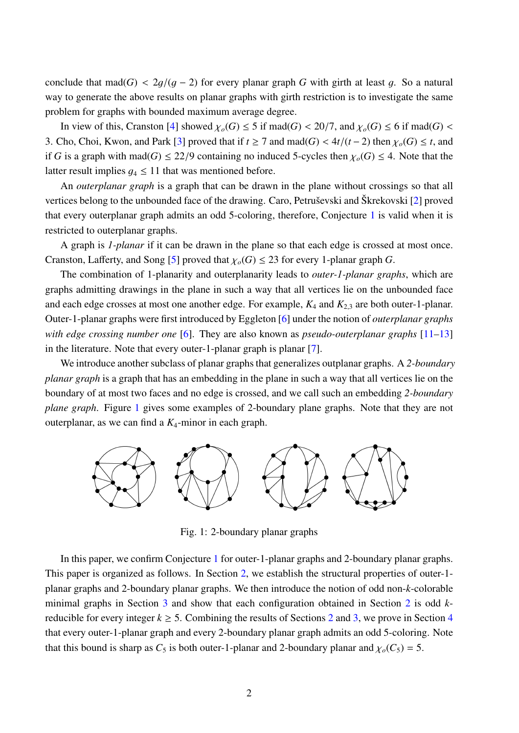conclude that mad( $G$ ) < 2g/( $g - 2$ ) for every planar graph G with girth at least g. So a natural way to generate the above results on planar graphs with girth restriction is to investigate the same problem for graphs with bounded maximum average degree.

In view of this, Cranston [\[4\]](#page-9-0) showed  $\chi_o(G) \leq 5$  if mad(*G*) < 20/7, and  $\chi_o(G) \leq 6$  if mad(*G*) < 3. Cho, Choi, Kwon, and Park [\[3\]](#page-9-1) proved that if  $t \ge 7$  and mad( $G$ ) <  $4t/(t-2)$  then  $\chi_o(G) \le t$ , and if *G* is a graph with mad(*G*)  $\leq$  22/9 containing no induced 5-cycles then  $\chi_o(G) \leq 4$ . Note that the latter result implies  $q_4 \leq 11$  that was mentioned before.

An *outerplanar graph* is a graph that can be drawn in the plane without crossings so that all vertices belong to the unbounded face of the drawing. Caro, Petruševski and Škrekovski [\[2\]](#page-9-2) proved that every outerplanar graph admits an odd 5-coloring, therefore, Conjecture [1](#page-0-0) is valid when it is restricted to outerplanar graphs.

A graph is *1-planar* if it can be drawn in the plane so that each edge is crossed at most once. Cranston, Lafferty, and Song [\[5\]](#page-9-3) proved that  $\chi_o(G) \leq 23$  for every 1-planar graph *G*.

The combination of 1-planarity and outerplanarity leads to *outer-1-planar graphs*, which are graphs admitting drawings in the plane in such a way that all vertices lie on the unbounded face and each edge crosses at most one another edge. For example, *<sup>K</sup>*<sup>4</sup> and *<sup>K</sup>*<sup>2</sup>,<sup>3</sup> are both outer-1-planar. Outer-1-planar graphs were first introduced by Eggleton [\[6\]](#page-9-4) under the notion of *outerplanar graphs with edge crossing number one* [\[6\]](#page-9-4). They are also known as *pseudo-outerplanar graphs* [\[11–](#page-10-2)[13\]](#page-10-3) in the literature. Note that every outer-1-planar graph is planar [\[7\]](#page-10-4).

We introduce another subclass of planar graphs that generalizes outplanar graphs. A *2-boundary planar graph* is a graph that has an embedding in the plane in such a way that all vertices lie on the boundary of at most two faces and no edge is crossed, and we call such an embedding *2-boundary plane graph*. Figure [1](#page-0-0) gives some examples of 2-boundary plane graphs. Note that they are not outerplanar, as we can find a *K*4-minor in each graph.



<span id="page-1-0"></span>Fig. 1: 2-boundary planar graphs

In this paper, we confirm Conjecture [1](#page-0-0) for outer-1-planar graphs and 2-boundary planar graphs. This paper is organized as follows. In Section [2,](#page-2-0) we establish the structural properties of outer-1 planar graphs and 2-boundary planar graphs. We then introduce the notion of odd non-*k*-colorable minimal graphs in Section [3](#page-5-0) and show that each configuration obtained in Section [2](#page-2-0) is odd *k*reducible for every integer  $k \ge 5$ . Combining the results of Sections [2](#page-2-0) and [3,](#page-5-0) we prove in Section [4](#page-9-5) that every outer-1-planar graph and every 2-boundary planar graph admits an odd 5-coloring. Note that this bound is sharp as  $C_5$  is both outer-1-planar and 2-boundary planar and  $\chi_o(C_5) = 5$ .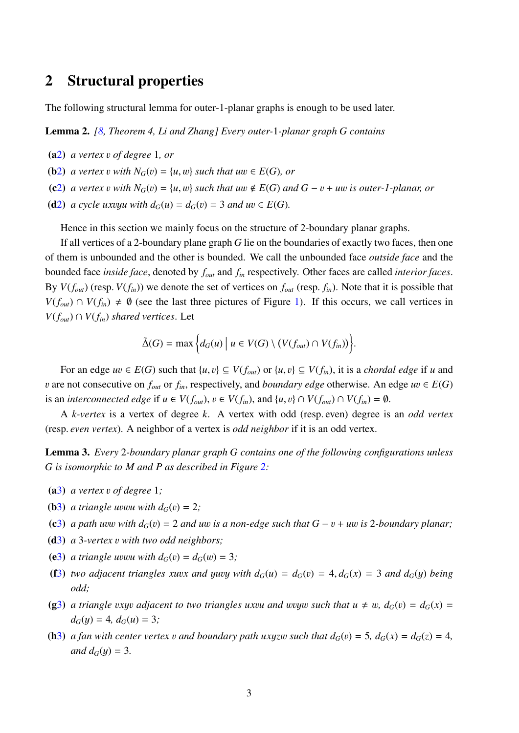### <span id="page-2-0"></span>2 Structural properties

The following structural lemma for outer-1-planar graphs is enough to be used later.

<span id="page-2-1"></span>Lemma 2. *[\[8,](#page-10-5) Theorem 4, Li and Zhang] Every outer-*1*-planar graph G contains*

- <span id="page-2-12"></span><span id="page-2-11"></span>(a[2](#page-2-1)) *a vertex* v *of degree* <sup>1</sup>*, or*
- <span id="page-2-13"></span>(**b**[2](#page-2-1)) *a vertex v with*  $N_G(v) = \{u, w\}$  *such that uw*  $\in E(G)$ *, or*
- <span id="page-2-14"></span>(c[2](#page-2-1)) *a vertex v with*  $N_G(v) = \{u, w\}$  *such that uw*  $\notin E(G)$  *and*  $G - v + uw$  *is outer-1-planar, or*
- (d[2](#page-2-1)) *a cycle uxvyu with*  $d_G(u) = d_G(v) = 3$  *and*  $uv \in E(G)$ *.*

Hence in this section we mainly focus on the structure of 2-boundary planar graphs.

If all vertices of a 2-boundary plane graph *G* lie on the boundaries of exactly two faces, then one of them is unbounded and the other is bounded. We call the unbounded face *outside face* and the bounded face *inside face*, denoted by *fout* and *fin* respectively. Other faces are called *interior faces*. By  $V(f_{out})$  (resp.  $V(f_{in})$ ) we denote the set of vertices on  $f_{out}$  (resp.  $f_{in}$ ). Note that it is possible that *V*( $f_{out}$ ) ∩ *V*( $f_{in}$ )  $\neq$  Ø (see the last three pictures of Figure [1\)](#page-1-0). If this occurs, we call vertices in *V*( $f<sub>out</sub>$ ) ∩ *V*( $f<sub>in</sub>$ ) *shared vertices*. Let

$$
\tilde{\Delta}(G) = \max \Big\{ d_G(u) \Big| \ u \in V(G) \setminus (V(f_{out}) \cap V(f_{in})) \Big\}.
$$

For an edge  $uv \in E(G)$  such that  $\{u, v\} \subseteq V(f_{out})$  or  $\{u, v\} \subseteq V(f_{in})$ , it is a *chordal edge* if *u* and v are not consecutive on  $f_{out}$  or  $f_{in}$ , respectively, and *boundary edge* otherwise. An edge  $uv \in E(G)$ is an *interconnected edge* if  $u \in V(f_{out})$ ,  $v \in V(f_{in})$ , and  $\{u, v\} \cap V(f_{out}) \cap V(f_{in}) = \emptyset$ .

A *k-vertex* is a vertex of degree *k*. A vertex with odd (resp. even) degree is an *odd vertex* (resp. *even vertex*). A neighbor of a vertex is *odd neighbor* if it is an odd vertex.

<span id="page-2-2"></span>Lemma 3. *Every* 2*-boundary planar graph G contains one of the following configurations unless G is isomorphic to M and P as described in Figure [2:](#page-3-0)*

- <span id="page-2-4"></span><span id="page-2-3"></span>(a[3](#page-2-2)) *a vertex* v *of degree* <sup>1</sup>*;*
- <span id="page-2-5"></span>(**b**[3](#page-2-2)) *a triangle uvwu with*  $d_G(v) = 2$ ;
- <span id="page-2-7"></span>(c[3](#page-2-2)) *a path uvw with*  $d_G(v) = 2$  *and uw is a non-edge such that*  $G - v + uw$  *is* 2*-boundary planar*;
- <span id="page-2-6"></span>(d[3](#page-2-2)) *<sup>a</sup>* <sup>3</sup>*-vertex* v *with two odd neighbors;*
- <span id="page-2-9"></span>(e[3](#page-2-2)) *a triangle uvwu with*  $d_G(v) = d_G(w) = 3$ *;*
- (f[3](#page-2-2)) *two adjacent triangles xuvx and yuvy with*  $d_G(u) = d_G(v) = 4$ *,*  $d_G(x) = 3$  *<i>and*  $d_G(y)$  *being odd;*
- <span id="page-2-10"></span>(g[3](#page-2-2)) *a triangle vxyv adjacent to two triangles uxvu and wvyw such that*  $u \neq w$ *,*  $d_G(v) = d_G(x)$  $d_G(y) = 4$ ,  $d_G(u) = 3$ ;
- <span id="page-2-8"></span>(h[3](#page-2-2)) *a fan with center vertex v and boundary path uxyzw such that*  $d_G(v) = 5$ *,*  $d_G(x) = d_G(z) = 4$ *, and*  $d_G(y) = 3$ *.*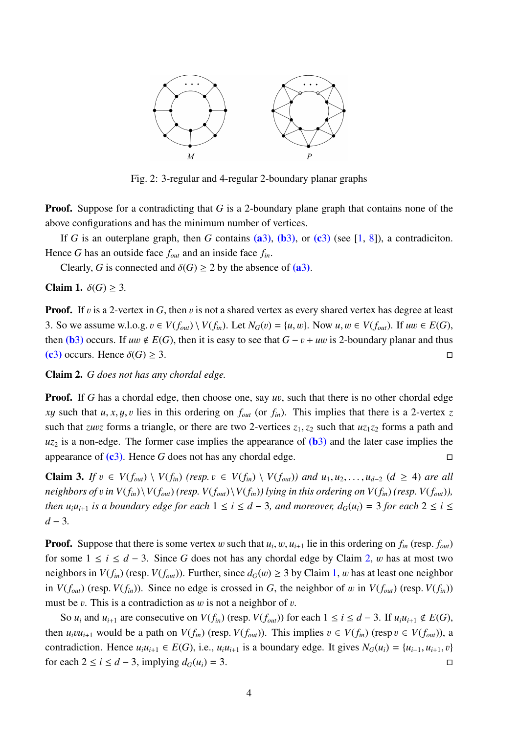

<span id="page-3-0"></span>Fig. 2: 3-regular and 4-regular 2-boundary planar graphs

**Proof.** Suppose for a contradicting that *G* is a 2-boundary plane graph that contains none of the above configurations and has the minimum number of vertices.

If *G* is an outerplane graph, then *G* contains [\(a](#page-2-3)[3](#page-2-2)), [\(b](#page-2-4)3), or [\(c](#page-2-5)3) (see [\[1,](#page-9-6) [8\]](#page-10-5)), a contradiciton. Hence *G* has an outside face *fout* and an inside face *fin*.

Clearly, *G* is connected and  $\delta(G) \ge 2$  by the absence of [\(a](#page-2-3)[3](#page-2-2)).

<span id="page-3-2"></span>Claim 1.  $\delta(G) \geq 3$ .

**Proof.** If v is a 2-vertex in G, then v is not a shared vertex as every shared vertex has degree at least 3. So we assume w.l.o.g. *v* ∈ *V*( $f_{out}$ ) \ *V*( $f_{in}$ ). Let  $N_G(v) = \{u, w\}$ . Now  $u, w \in V(f_{out})$ . If  $uw \in E(G)$ , then [\(b](#page-2-4)[3](#page-2-2)) occurs. If  $uw \notin E(G)$ , then it is easy to see that  $G - v + uw$  is 2-boundary planar and thus (c3) occurs. Hence  $\delta(G) \ge 3$ . [\(c](#page-2-5)[3](#page-2-2)) occurs. Hence  $\delta(G) \geq 3$ .

<span id="page-3-1"></span>Claim 2. *G does not has any chordal edge.*

**Proof.** If G has a chordal edge, then choose one, say *uv*, such that there is no other chordal edge *xy* such that  $u, x, y, v$  lies in this ordering on  $f_{out}$  (or  $f_{in}$ ). This implies that there is a 2-vertex *z* such that *zuvz* forms a triangle, or there are two 2-vertices  $z_1$ ,  $z_2$  such that  $uz_1z_2$  forms a path and  $u_{z_2}$  is a non-edge. The former case implies the appearance of  $(b_3)$  $(b_3)$  $(b_3)$  $(b_3)$  and the later case implies the appearance of  $(c3)$  $(c3)$  $(c3)$ . Hence *G* does not has any chordal edge.

<span id="page-3-3"></span>**Claim 3.** If  $v \in V(f_{out}) \setminus V(f_{in})$  (resp.  $v \in V(f_{in}) \setminus V(f_{out})$ ) and  $u_1, u_2, \ldots, u_{d-2}$  ( $d \ge 4$ ) are all neighbors of v in  $V(f_{in})\backslash V(f_{out})$  (resp.  $V(f_{out})\backslash V(f_{in})$ ) lying in this ordering on  $V(f_{in})$  (resp.  $V(f_{out})$ ), *then*  $u_i u_{i+1}$  *is a boundary edge for each*  $1 \le i \le d-3$ *, and moreover,*  $d_G(u_i) = 3$  *for each*  $2 \le i \le d-3$ *d* − 3*.*

**Proof.** Suppose that there is some vertex w such that  $u_i, w, u_{i+1}$  lie in this ordering on  $f_{in}$  (resp.  $f_{out}$ ) for a series of  $f_{out}$  and  $f_{out}$  and  $f_{out}$  and  $f_{out}$  and  $f_{out}$  and  $f_{out}$  and  $f_{out}$  and  $f_{out}$  and  $f$ for some  $1 \le i \le d - 3$ . Since G does not has any chordal edge by Claim [2,](#page-3-1) w has at most two neighbors in  $V(f_{in})$  (resp.  $V(f_{out})$ ). Further, since  $d_G(w) \geq 3$  by Claim [1,](#page-3-2) w has at least one neighbor in  $V(f_{out})$  (resp.  $V(f_{in})$ ). Since no edge is crossed in *G*, the neighbor of w in  $V(f_{out})$  (resp.  $V(f_{in})$ ) must be  $v$ . This is a contradiction as  $w$  is not a neighbor of  $v$ .

So  $u_i$  and  $u_{i+1}$  are consecutive on  $V(f_{in})$  (resp.  $V(f_{out})$ ) for each  $1 \le i \le d-3$ . If  $u_iu_{i+1} \notin E(G)$ , then  $u_i v u_{i+1}$  would be a path on  $V(f_{in})$  (resp.  $V(f_{out})$ ). This implies  $v \in V(f_{in})$  (resp  $v \in V(f_{out})$ ), a contradiction. Hence  $u_i u_{i+1} \in E(G)$ , i.e.,  $u_i u_{i+1}$  is a boundary edge. It gives  $N_G(u_i) = \{u_{i-1}, u_{i+1}, v\}$  for each  $2 \le i \le d - 3$ , implying  $d_G(u_i) = 3$ . for each  $2 \le i \le d - 3$ , implying  $d_G(u_i) = 3$ .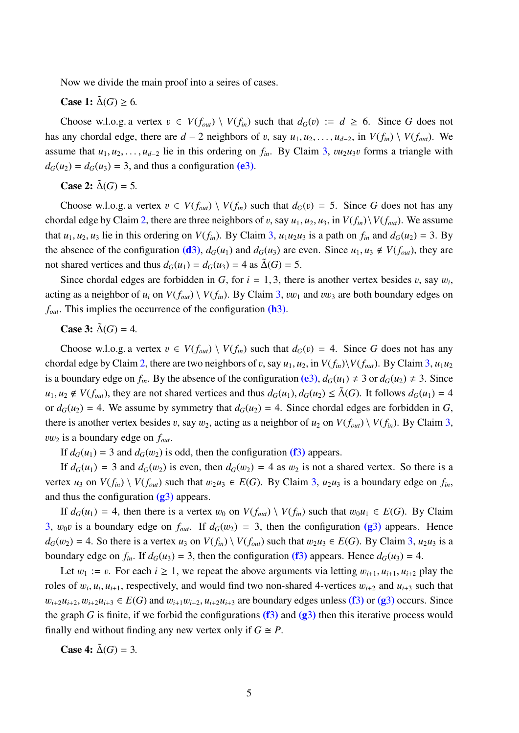Now we divide the main proof into a seires of cases.

#### **Case 1:**  $\tilde{\Delta}(G) > 6$ .

Choose w.l.o.g. a vertex  $v \in V(f_{out}) \setminus V(f_{in})$  such that  $d_G(v) := d \ge 6$ . Since G does not has any chordal edge, there are  $d - 2$  neighbors of v, say  $u_1, u_2, \ldots, u_{d-2}$ , in  $V(f_{in}) \setminus V(f_{out})$ . We assume that  $u_1, u_2, \ldots, u_{d-2}$  lie in this ordering on  $f_{in}$ . By Claim [3,](#page-3-3)  $vu_2u_3v$  forms a triangle with  $d_G(u_2) = d_G(u_3) = 3$  $d_G(u_2) = d_G(u_3) = 3$  $d_G(u_2) = d_G(u_3) = 3$ , and thus a configuration [\(e](#page-2-6)3).

#### **Case 2:**  $\tilde{\Delta}(G) = 5$ .

Choose w.l.o.g. a vertex  $v \in V(f_{out}) \setminus V(f_{in})$  such that  $d_G(v) = 5$ . Since G does not has any chordal edge by Claim [2,](#page-3-1) there are three neighbors of v, say  $u_1, u_2, u_3$ , in  $V(f_{in})\setminus V(f_{out})$ . We assume that  $u_1, u_2, u_3$  lie in this ordering on  $V(f_{in})$ . By Claim [3,](#page-3-3)  $u_1u_2u_3$  is a path on  $f_{in}$  and  $d_G(u_2) = 3$ . By the absence of the configuration [\(d](#page-2-7)[3](#page-2-2)),  $d_G(u_1)$  and  $d_G(u_3)$  are even. Since  $u_1, u_3 \notin V(f_{out})$ , they are not shared vertices and thus  $d_G(u_1) = d_G(u_3) = 4$  as  $\tilde{\Delta}(G) = 5$ .

Since chordal edges are forbidden in *G*, for  $i = 1, 3$ , there is another vertex besides v, say  $w_i$ , acting as a neighbor of  $u_i$  on  $V(f_{out}) \setminus V(f_{in})$ . By Claim [3,](#page-3-3)  $vw_1$  and  $vw_3$  are both boundary edges on *f<sub>out</sub>*. This implies the occurrence of the configuration [\(h](#page-2-8)[3](#page-2-2)).

**Case 3:**  $\tilde{\Delta}(G) = 4$ .

Choose w.l.o.g. a vertex  $v \in V(f_{out}) \setminus V(f_{in})$  such that  $d_G(v) = 4$ . Since G does not has any chordal edge by Claim [2,](#page-3-1) there are two neighbors of v, say  $u_1, u_2$ , in  $V(f_{in})\setminus V(f_{out})$ . By Claim [3,](#page-3-3)  $u_1u_2$ is a boundary edge on  $f_{in}$ . By the absence of the configuration [\(e](#page-2-6)[3](#page-2-2)),  $d_G(u_1) \neq 3$  or  $d_G(u_2) \neq 3$ . Since *u*<sub>1</sub>, *u*<sub>2</sub> ∉ *V*(*f<sub>out</sub>*), they are not shared vertices and thus  $d_G(u_1), d_G(u_2) \leq \Delta(G)$ . It follows  $d_G(u_1) = 4$ or  $d_G(u_2) = 4$ . We assume by symmetry that  $d_G(u_2) = 4$ . Since chordal edges are forbidden in *G*, there is another vertex besides v, say  $w_2$ , acting as a neighbor of  $u_2$  on  $V(f_{out}) \setminus V(f_{in})$ . By Claim [3,](#page-3-3) vw<sup>2</sup> is a boundary edge on *<sup>f</sup>out*.

If  $d_G(u_1) = 3$  $d_G(u_1) = 3$  and  $d_G(w_2)$  is odd, then the configuration [\(f](#page-2-9)3) appears.

If  $d_G(u_1) = 3$  and  $d_G(w_2)$  is even, then  $d_G(w_2) = 4$  as  $w_2$  is not a shared vertex. So there is a vertex *u*<sub>3</sub> on  $V(f_{in}) \setminus V(f_{out})$  such that  $w_2u_3 \in E(G)$ . By Claim [3,](#page-3-3)  $u_2u_3$  is a boundary edge on  $f_{in}$ , and thus the configuration  $(g3)$  $(g3)$  $(g3)$  appears.

If  $d_G(u_1) = 4$ , then there is a vertex  $w_0$  on  $V(f_{out}) \setminus V(f_{in})$  such that  $w_0u_1 \in E(G)$ . By Claim [3,](#page-3-3)  $w_0v$  is a boundary edge on  $f_{out}$ . If  $d_G(w_2) = 3$  $d_G(w_2) = 3$ , then the configuration [\(g](#page-2-10)3) appears. Hence  $d_G(w_2) = 4$ . So there is a vertex *u*<sub>3</sub> on  $V(f_{in}) \setminus V(f_{out})$  such that  $w_2u_3 \in E(G)$ . By Claim [3,](#page-3-3) *u*<sub>2</sub>*u*<sub>3</sub> is a boundary edge on  $f_{in}$ . If  $d_G(u_3) = 3$  $d_G(u_3) = 3$  $d_G(u_3) = 3$ , then the configuration [\(f](#page-2-9)3) appears. Hence  $d_G(u_3) = 4$ .

Let  $w_1 := v$ . For each  $i \ge 1$ , we repeat the above arguments via letting  $w_{i+1}, u_{i+1}, u_{i+2}$  play the roles of  $w_i$ ,  $u_i$ ,  $u_{i+1}$ , respectively, and would find two non-shared 4-vertices  $w_{i+2}$  and  $u_{i+3}$  such that  $w_{i+2}u_{i+2}, w_{i+2}u_{i+3} \in E(G)$  $w_{i+2}u_{i+2}, w_{i+2}u_{i+3} \in E(G)$  $w_{i+2}u_{i+2}, w_{i+2}u_{i+3} \in E(G)$  and  $w_{i+1}w_{i+2}, u_{i+2}u_{i+3}$  are boundary edges unless [\(f](#page-2-9)3) or [\(g](#page-2-10)3) occurs. Since the graph *G* is finite, if we forbid the configurations  $(f3)$  $(f3)$  $(f3)$  and  $(g3)$  $(g3)$  then this iterative process would finally end without finding any new vertex only if  $G \cong P$ .

Case 4: 
$$
\tilde{\Delta}(G) = 3
$$
.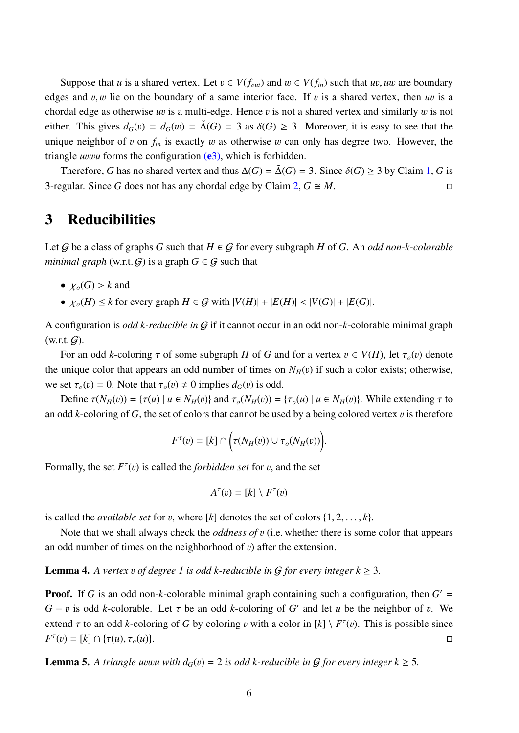Suppose that *u* is a shared vertex. Let  $v \in V(f_{out})$  and  $w \in V(f_{in})$  such that *uv*, *uw* are boundary edges and  $v, w$  lie on the boundary of a same interior face. If  $v$  is a shared vertex, then  $uv$  is a chordal edge as otherwise *<sup>u</sup>*v is a multi-edge. Hence v is not a shared vertex and similarly w is not either. This gives  $d_G(v) = d_G(w) = \tilde{\Delta}(G) = 3$  as  $\delta(G) \geq 3$ . Moreover, it is easy to see that the unique neighbor of v on  $f_{in}$  is exactly w as otherwise w can only has degree two. However, the triangle *<sup>u</sup>*vw*<sup>u</sup>* forms the configuration [\(e](#page-2-6)[3](#page-2-2)), which is forbidden.

Therefore, *G* has no shared vertex and thus  $\Delta(G) = \tilde{\Delta}(G) = 3$ . Since  $\delta(G) \ge 3$  by Claim [1,](#page-3-2) *G* is equilar. Since *G* does not has any chordal edge by Claim 2, *G*  $\cong M$ . 3-regular. Since *G* does not has any chordal edge by Claim [2,](#page-3-1)  $G \cong M$ .

### <span id="page-5-0"></span>3 Reducibilities

Let G be a class of graphs G such that  $H \in G$  for every subgraph H of G. An *odd non-k-colorable minimal graph* (w.r.t.  $G$ ) is a graph  $G \in G$  such that

- $\chi_o(G) > k$  and
- $\chi_o(H) \leq k$  for every graph  $H \in \mathcal{G}$  with  $|V(H)| + |E(H)| < |V(G)| + |E(G)|$ .

A configuration is *odd k-reducible in* G if it cannot occur in an odd non-*k*-colorable minimal graph  $(w.r.t. G)$ .

For an odd *k*-coloring  $\tau$  of some subgraph *H* of *G* and for a vertex  $v \in V(H)$ , let  $\tau_o(v)$  denote the unique color that appears an odd number of times on  $N_H(v)$  if such a color exists; otherwise, we set  $\tau_o(v) = 0$ . Note that  $\tau_o(v) \neq 0$  implies  $d_G(v)$  is odd.

Define  $\tau(N_H(v)) = {\tau(u) | u \in N_H(v)}$  and  $\tau_o(N_H(v)) = {\tau_o(u) | u \in N_H(v)}$ . While extending  $\tau$  to an odd *k*-coloring of *G*, the set of colors that cannot be used by a being colored vertex  $v$  is therefore

$$
F^{\tau}(v) = [k] \cap \Big(\tau(N_H(v)) \cup \tau_o(N_H(v))\Big).
$$

Formally, the set  $F^{\tau}(v)$  is called the *forbidden set* for v, and the set

$$
A^{\tau}(v) = [k] \setminus F^{\tau}(v)
$$

is called the *available set* for v, where  $[k]$  denotes the set of colors  $\{1, 2, \ldots, k\}$ .

Note that we shall always check the *oddness of* v (i.e. whether there is some color that appears an odd number of times on the neighborhood of  $v$ ) after the extension.

<span id="page-5-1"></span>**Lemma 4.** A vertex v of degree 1 is odd k-reducible in G for every integer  $k \geq 3$ .

**Proof.** If G is an odd non-k-colorable minimal graph containing such a configuration, then  $G' =$ *G* − *v* is odd *k*-colorable. Let  $\tau$  be an odd *k*-coloring of *G*<sup>'</sup> and let *u* be the neighbor of *v*. We extend  $\tau$  to an odd *k*-coloring of *G* by coloring *v* with a color in  $[k] \setminus F^{\tau}(v)$ . This is possible since  $F^{\tau}(v) = [k] \cap {\tau(u), \tau_o(u)}.$ 

<span id="page-5-2"></span>**Lemma 5.** A triangle uvwu with  $d_G(v) = 2$  is odd k-reducible in G for every integer  $k \geq 5$ .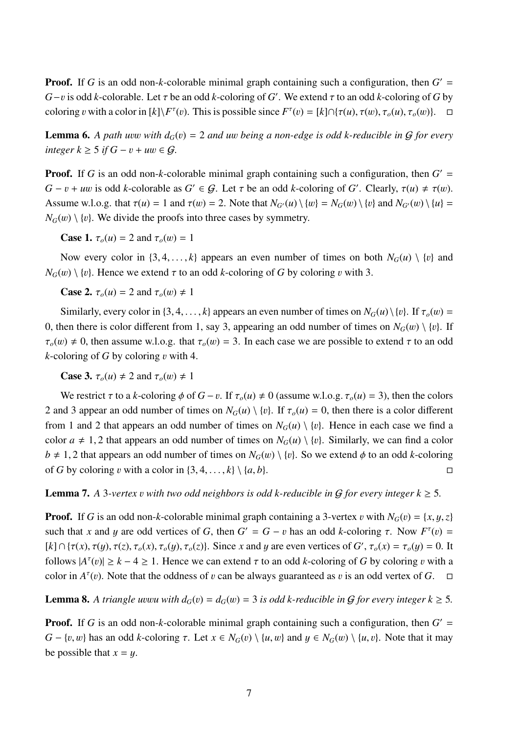**Proof.** If G is an odd non-k-colorable minimal graph containing such a configuration, then  $G' =$ *G*−*v* is odd *k*-colorable. Let  $\tau$  be an odd *k*-coloring of *G*'. We extend  $\tau$  to an odd *k*-coloring of *G* by coloring v with a color in  $[k]\F^{\tau}(v)$ . This is possible since  $F^{\tau}(v) = [k] \cap {\tau(u), \tau(v), \tau_o(u), \tau_o(w)}$ .  $\Box$ 

<span id="page-6-1"></span>**Lemma 6.** A path uvw with  $d_G(v) = 2$  and uw being a non-edge is odd k-reducible in G for every *integer*  $k \geq 5$  *if*  $G - v + uw \in G$ *.* 

**Proof.** If G is an odd non-k-colorable minimal graph containing such a configuration, then  $G' =$ *G* − *v* + *uw* is odd *k*-colorable as *G*<sup> $\prime$ </sup> ∈ *G*. Let  $\tau$  be an odd *k*-coloring of *G*<sup> $\prime$ </sup>. Clearly,  $\tau(u) \neq \tau(w)$ . Assume w.l.o.g. that  $\tau(u) = 1$  and  $\tau(w) = 2$ . Note that  $N_{G'}(u) \setminus \{w\} = N_G(w) \setminus \{v\}$  and  $N_{G'}(w) \setminus \{u\} =$  $N_G(w) \setminus \{v\}$ . We divide the proofs into three cases by symmetry.

**Case 1.**  $\tau_o(u) = 2$  and  $\tau_o(w) = 1$ 

Now every color in  $\{3, 4, \ldots, k\}$  appears an even number of times on both  $N_G(u) \setminus \{v\}$  and  $N_G(w) \setminus \{v\}$ . Hence we extend  $\tau$  to an odd *k*-coloring of *G* by coloring *v* with 3.

**Case 2.**  $\tau_o(u) = 2$  and  $\tau_o(w) \neq 1$ 

Similarly, every color in {3, 4, ..., *k*} appears an even number of times on  $N_G(u) \setminus \{v\}$ . If  $\tau_o(w)$  = 0, then there is color different from 1, say 3, appearing an odd number of times on  $N_G(w) \setminus \{v\}$ . If  $\tau_o(w) \neq 0$ , then assume w.l.o.g. that  $\tau_o(w) = 3$ . In each case we are possible to extend  $\tau$  to an odd  $k$ -coloring of  $G$  by coloring  $v$  with 4.

**Case 3.**  $\tau_o(u) \neq 2$  and  $\tau_o(w) \neq 1$ 

We restrict  $\tau$  to a *k*-coloring  $\phi$  of  $G - v$ . If  $\tau_o(u) \neq 0$  (assume w.l.o.g.  $\tau_o(u) = 3$ ), then the colors 2 and 3 appear an odd number of times on  $N_G(u) \setminus \{v\}$ . If  $\tau_o(u) = 0$ , then there is a color different from 1 and 2 that appears an odd number of times on  $N_G(u) \setminus \{v\}$ . Hence in each case we find a color  $a \neq 1, 2$  that appears an odd number of times on  $N_G(u) \setminus \{v\}$ . Similarly, we can find a color *b*  $\neq$  1, 2 that appears an odd number of times on *N<sub>G</sub>*(*w*) \ {*v*}. So we extend  $\phi$  to an odd *k*-coloring of *G* by coloring *v* with a color in {3, 4, ..., *k*} \ {*a*, *b*}. of *G* by coloring *v* with a color in  $\{3, 4, \ldots, k\} \setminus \{a, b\}.$ 

<span id="page-6-0"></span>**Lemma 7.** A 3-vertex *v* with two odd neighbors is odd k-reducible in G for every integer  $k \geq 5$ .

**Proof.** If *G* is an odd non-*k*-colorable minimal graph containing a 3-vertex v with  $N_G(v) = \{x, y, z\}$ such that *x* and *y* are odd vertices of *G*, then  $G' = G - v$  has an odd *k*-coloring  $\tau$ . Now  $F^{\tau}(v) =$  $[k] \cap {\tau(x), \tau(y), \tau(z), \tau_o(x), \tau_o(y), \tau_o(z)}$ . Since *x* and *y* are even vertices of *G*',  $\tau_o(x) = \tau_o(y) = 0$ . It follows  $|A^{\tau}(v)| \ge k - 4 \ge 1$ . Hence we can extend  $\tau$  to an odd *k*-coloring of *G* by coloring *v* with a coloring  $\Lambda^{\tau}(v)$ . color in  $A^{\tau}(v)$ . Note that the oddness of v can be always guaranteed as v is an odd vertex of *G*.  $\Box$ 

<span id="page-6-2"></span>**Lemma 8.** A triangle uvwu with  $d_G(v) = d_G(w) = 3$  is odd k-reducible in G for every integer  $k \ge 5$ .

**Proof.** If G is an odd non-k-colorable minimal graph containing such a configuration, then  $G' =$ *G* − {*v*, *w*} has an odd *k*-coloring τ. Let *x* ∈ *N<sub>G</sub>*(*v*) \ {*u*, *w*} and *y* ∈ *N<sub>G</sub>*(*w*) \ {*u*, *v*}. Note that it may be possible that  $x = y$ .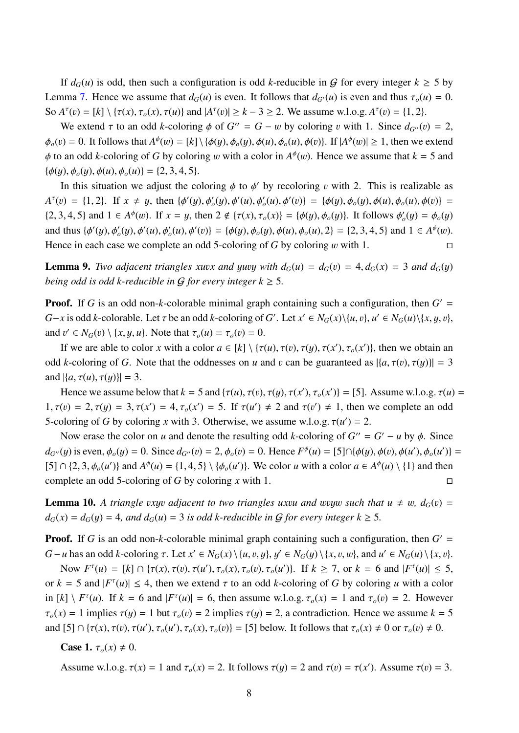If  $d_G(u)$  is odd, then such a configuration is odd *k*-reducible in G for every integer  $k \ge 5$  by Lemma [7.](#page-6-0) Hence we assume that  $d_G(u)$  is even. It follows that  $d_{G'}(u)$  is even and thus  $\tau_o(u) = 0$ . So  $A^{\tau}(v) = [k] \setminus {\tau(x), \tau_o(x), \tau(u)}$  and  $|A^{\tau}(v)| \ge k - 3 \ge 2$ . We assume w.l.o.g.  $A^{\tau}(v) = \{1, 2\}$ .

We extend  $\tau$  to an odd *k*-coloring  $\phi$  of  $G'' = G - w$  by coloring v with 1. Since  $d_{G''}(v) = 2$ ,  $\phi_o(v) = 0$ . It follows that  $A^{\phi}(w) = [k] \setminus {\phi(y), \phi_o(y), \phi(u), \phi_o(u), \phi(v)}$ . If  $|A^{\phi}(w)| \ge 1$ , then we extend  $\phi$  to an odd *k*-coloring of *G* by coloring w with a color in  $A^{\phi}(w)$ . Hence we assume that  $k = 5$  and  $(A(\alpha), A(\alpha), A(\alpha)) = (2, 2, 4, 5)$  ${\phi(y), \phi_o(y), \phi(u), \phi_o(u)} = {2, 3, 4, 5}.$ 

In this situation we adjust the coloring  $\phi$  to  $\phi'$  by recoloring v with 2. This is realizable as  $A^{\tau}(v) = \{1, 2\}$ . If  $x \neq y$ , then  $\{\phi'(y), \phi'(y), \phi'(u), \phi'(v)\} = \{\phi(y), \phi_o(y), \phi(u), \phi_o(u), \phi(v)\} = \{2, 2, 4, 5\}$  and  $1 \in A^{\phi}(w)$ . If  $w = w$  then  $2, \phi_o(x) = \phi(x) - \phi(x)$ ,  $\phi_o(x) = \phi(x) - \phi(x)$ . It follows  $f(x) = f(x)$ {2, 3, 4, 5} and  $1 \in A^{\phi}(w)$ . If  $x = y$ , then  $2 \notin {\tau(x), \tau_o(x)} = {\phi(y), \phi_o(y)}$ . It follows  $\phi'_o(y) = \phi_o(y)$ and thus  $\{\phi'(y), \phi'_o(y), \phi'(u), \phi'_o(u), \phi'(v)\} = \{\phi(y), \phi_o(y), \phi(u), \phi_o(u), 2\} = \{2, 3, 4, 5\}$  and  $1 \in A^{\phi}(w)$ . Hence in each case we complete an odd 5-coloring of *G* by coloring w with 1.

<span id="page-7-0"></span>**Lemma 9.** *Two adjacent triangles xuvx and yuvy with*  $d_G(u) = d_G(v) = 4$ ,  $d_G(x) = 3$  *and*  $d_G(y)$ *being odd is odd k-reducible in G for every integer*  $k \geq 5$ *.* 

**Proof.** If G is an odd non-k-colorable minimal graph containing such a configuration, then  $G' =$ *G*-*x* is odd *k*-colorable. Let  $\tau$  be an odd *k*-coloring of *G*'. Let  $x' \in N_G(x) \setminus \{u, v\}$ ,  $u' \in N_G(u) \setminus \{x, y, v\}$ , and  $v' \in N_G(v) \setminus \{x, y, u\}$ . Note that  $\tau_o(u) = \tau_o(v) = 0$ .

If we are able to color *x* with a color  $a \in [k] \setminus {\tau(u), \tau(v), \tau(y), \tau(x'), \tau_o(x')}$ , then we obtain an odd *k*-coloring of *G*. Note that the oddnesses on *u* and *v* can be guaranteed as  $|\{a, \tau(v), \tau(y)\}| = 3$ and  $|\{a, \tau(u), \tau(y)\}| = 3$ .

Hence we assume below that  $k = 5$  and  $\{\tau(u), \tau(v), \tau(y), \tau(x'), \tau_o(x')\} = [5]$ . Assume w.l.o.g.  $\tau(u) =$  $1, \tau(v) = 2, \tau(y) = 3, \tau(x') = 4, \tau_o(x') = 5$ . If  $\tau(u') \neq 2$  and  $\tau(v') \neq 1$ , then we complete an odd 5-coloring of *G* by coloring *x* with 3. Otherwise, we assume w.l.o.g.  $\tau(u') = 2$ .

Now erase the color on *u* and denote the resulting odd *k*-coloring of  $G'' = G' - u$  by  $\phi$ . Since *d*<sub>*G*<sup>*v*</sup></sub>(*y*) is even,  $\phi_o(y) = 0$ . Since  $d_{G'}(v) = 2$ ,  $\phi_o(v) = 0$ . Hence  $F^{\phi}(u) = [5] \cap {\phi(y), \phi(v), \phi(u'), \phi_o(u')}$ [5]  $\cap$  {2, 3,  $\phi_o(u')$ } and  $A^{\phi}(u) = \{1, 4, 5\} \setminus \{\phi_o(u')\}$ . We color *u* with a color  $a \in A^{\phi}(u) \setminus \{1\}$  and then complete an odd 5-coloring of *G* by coloring *x* with 1.

<span id="page-7-1"></span>**Lemma 10.** A triangle vxyv adjacent to two triangles uxvu and wvyw such that  $u \neq w$ ,  $d_G(v)$  =  $d_G(x) = d_G(y) = 4$ , and  $d_G(u) = 3$  *is odd k-reducible in G for every integer k*  $\geq 5$ *.* 

**Proof.** If G is an odd non-k-colorable minimal graph containing such a configuration, then  $G' =$ *G* − *u* has an odd *k*-coloring τ. Let *x*<sup>'</sup> ∈ *N<sub>G</sub>*(*x*) \{*u*, *v*, *y*}, *y*<sup>'</sup> ∈ *N<sub>G</sub>*(*y*) \{*x*, *v*, *w*}, and *u*<sup>'</sup> ∈ *N<sub>G</sub>*(*u*) \{*x*, *v*}.<br>Now *EI*(*x*) = (*x*) = (*x*) = (*x*) = (*x*) = (*x*) = (*x*)

Now *F<sup>τ</sup>*(*u*) = [*k*] ∩ {*τ*(*x*), *τ*(*v*), *τ*(*u*'), *τ*<sub>*o*</sub>(*x*), *τ*<sub>*o*</sub>(*v*), *τ*<sub>*o*</sub>(*u*')}. If *k* ≥ 7, or *k* = 6 and |*F<sup>τ</sup>*(*u*)| ≤ 5, and |*F<sup>τ</sup>*(*u*)| ≤ 5, and |*F<sup>τ</sup>*(*u*)| ≤ 4, then are article to an or  $k = 5$  and  $|F^{\tau}(u)| \le 4$ , then we extend  $\tau$  to an odd *k*-coloring of *G* by coloring *u* with a color in  $[k] \setminus F^{\tau}(u)$ . If  $k = 6$  and  $|F^{\tau}(u)| = 6$ , then assume w.l.o.g.  $\tau_o(x) = 1$  and  $\tau_o(v) = 2$ . However  $\tau_o(x) = 1$  implies  $\tau(y) = 1$  but  $\tau_o(v) = 2$  implies  $\tau(y) = 2$ , a contradiction. Hence we assume  $k = 5$ and  $[5] \cap {\tau(x), \tau(v), \tau(u'), \tau_o(u'), \tau_o(x), \tau_o(v)} = [5]$  below. It follows that  $\tau_o(x) \neq 0$  or  $\tau_o(v) \neq 0$ .

**Case 1.**  $\tau_o(x) \neq 0$ .

Assume w.l.o.g.  $\tau(x) = 1$  and  $\tau_o(x) = 2$ . It follows  $\tau(y) = 2$  and  $\tau(v) = \tau(x')$ . Assume  $\tau(v) = 3$ .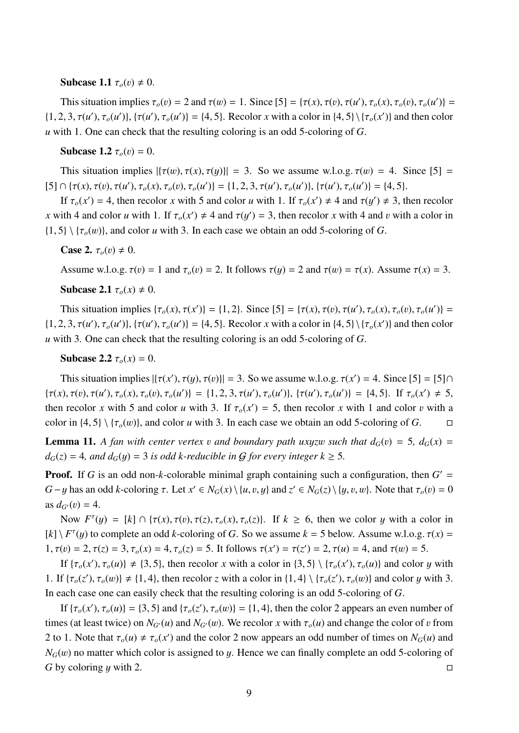#### Subcase 1.1  $\tau_o(v) \neq 0$ .

This situation implies  $\tau_o(v) = 2$  and  $\tau(w) = 1$ . Since  $[5] = {\tau(x), \tau(v), \tau_o(x), \tau_o(v), \tau_o(u')} =$ <br>
2.  $2 \tau(\sqrt{2} + \tau_o(\sqrt{2}))$ ,  $[4, 5]$ , Reachese with a salar is  $(4, 5)$ ,  $[5, (4)$ , and then salar  $\{\n\{1, 2, 3, \tau(u'), \tau_o(u')\}, \{\tau(u'), \tau_o(u')\} = \{\n4, 5\}.$  Recolor *x* with a color in  $\{\n4, 5\} \setminus \{\n\tau_o(x')\}\n\}$  and then color *u* with 1. One can check that the resulting coloring is an odd 5-coloring of *G*.

#### **Subcase 1.2**  $\tau_o(v) = 0$ .

This situation implies  $|\{\tau(w), \tau(x), \tau(y)\}| = 3$ . So we assume w.l.o.g.  $\tau(w) = 4$ . Since [5] =  $[5] \cap {\tau(x), \tau(v), \tau(u'), \tau_o(x), \tau_o(v), \tau_o(u')} = {1, 2, 3, \tau(u'), \tau_o(u')}, {\tau_o(u')} = {4, 5}.$ 

If  $\tau_o(x') = 4$ , then recolor *x* with 5 and color *u* with 1. If  $\tau_o(x') \neq 4$  and  $\tau(y') \neq 3$ , then recolor *x* with 4 and color *u* with 1. If  $\tau_o(x') \neq 4$  and  $\tau(y') = 3$ , then recolor *x* with 4 and *v* with a color in  $\{1, 5\} \setminus \{\tau_o(w)\}\$ , and color *u* with 3. In each case we obtain an odd 5-coloring of *G*.

**Case 2.**  $\tau_o(v) \neq 0$ .

Assume w.l.o.g.  $\tau(v) = 1$  and  $\tau_o(v) = 2$ . It follows  $\tau(y) = 2$  and  $\tau(w) = \tau(x)$ . Assume  $\tau(x) = 3$ .

Subcase 2.1  $\tau_o(x) \neq 0$ .

This situation implies  $\{\tau_o(x), \tau(x')\} = \{1, 2\}$ . Since  $[5] = \{\tau(x), \tau(v), \tau(u'), \tau_o(x), \tau_o(v), \tau_o(u')\} =$  $\{\n\{1, 2, 3, \tau(u'), \tau_o(u')\}, \{\tau(u'), \tau_o(u')\} = \{\n4, 5\}.$  Recolor *x* with a color in  $\{\n4, 5\} \setminus \{\n\tau_o(x')\}\n\}$  and then color *u* with 3. One can check that the resulting coloring is an odd 5-coloring of *G*.

**Subcase 2.2**  $\tau_o(x) = 0$ .

This situation implies  $|\{\tau(x'), \tau(y), \tau(v)\}| = 3$ . So we assume w.l.o.g.  $\tau(x') = 4$ . Since  $[5] = [5] \cap$  $\{\tau(x), \tau(v), \tau(u'), \tau_o(x), \tau_o(v), \tau_o(u')\} = \{1, 2, 3, \tau(u'), \tau_o(u')\}, \{\tau(u'), \tau_o(u')\} = \{4, 5\}.$  If  $\tau_o(x') \neq 5$ , then recolor *x* with 5 and color *u* with 3. If  $\tau_o(x') = 5$ , then recolor *x* with 1 and color *v* with a solution (4.5) ( $\tau_o(x)$ ) and solve with 3. In soch assesses ability and defining of C color in  $\{4, 5\} \setminus \{\tau_o(w)\}$ , and color *u* with 3. In each case we obtain an odd 5-coloring of *G*.  $\square$ 

<span id="page-8-0"></span>**Lemma 11.** A fan with center vertex v and boundary path uxyzw such that  $d_G(v) = 5$ ,  $d_G(x) = 5$  $d_G(z) = 4$ *, and*  $d_G(y) = 3$  *is odd k-reducible in G for every integer k*  $\geq 5$ *.* 

**Proof.** If G is an odd non-k-colorable minimal graph containing such a configuration, then  $G' =$ *G* − *y* has an odd *k*-coloring  $\tau$ . Let  $x' \in N_G(x) \setminus \{u, v, y\}$  and  $z' \in N_G(z) \setminus \{y, v, w\}$ . Note that  $\tau_o(v) = 0$ as  $d_{G}(v) = 4$ .

Now  $F^{\tau}(y) = [k] \cap {\tau(x), \tau(v), \tau(z), \tau_o(x), \tau_o(z)}$ . If  $k \ge 6$ , then we color y with a color in  $[k] \setminus F^{\tau}(y)$  to complete an odd *k*-coloring of *G*. So we assume  $k = 5$  below. Assume w.l.o.g.  $\tau(x) =$ 1,  $\tau(v) = 2$ ,  $\tau(z) = 3$ ,  $\tau_o(x) = 4$ ,  $\tau_o(z) = 5$ . It follows  $\tau(x') = \tau(z') = 2$ ,  $\tau(u) = 4$ , and  $\tau(w) = 5$ .

If  $\{\tau_o(x'), \tau_o(u)\} \neq \{3, 5\}$ , then recolor *x* with a color in  $\{3, 5\} \setminus \{\tau_o(x'), \tau_o(u)\}$  and color *y* with 1. If  $\{\tau_o(z'), \tau_o(w)\} \neq \{1, 4\}$ , then recolor *z* with a color in  $\{1, 4\} \setminus \{\tau_o(z'), \tau_o(w)\}$  and color *y* with 3. In each case one can easily check that the resulting coloring is an odd 5-coloring of *G*.

If  $\{\tau_o(x'), \tau_o(u)\} = \{3, 5\}$  and  $\{\tau_o(z'), \tau_o(w)\} = \{1, 4\}$ , then the color 2 appears an even number of times (at least twice) on  $N_{G}(u)$  and  $N_{G}(w)$ . We recolor *x* with  $\tau_o(u)$  and change the color of v from 2 to 1. Note that  $\tau_o(u) \neq \tau_o(x')$  and the color 2 now appears an odd number of times on  $N_G(u)$  and  $N_G(v)$  are not translated as large scale to a Hangary confined to an add 5 relative of *N<sub>G</sub>*(*w*) no matter which color is assigned to *y*. Hence we can finally complete an odd 5-coloring of *G* by coloring *u* with 2. *G* by coloring *y* with 2.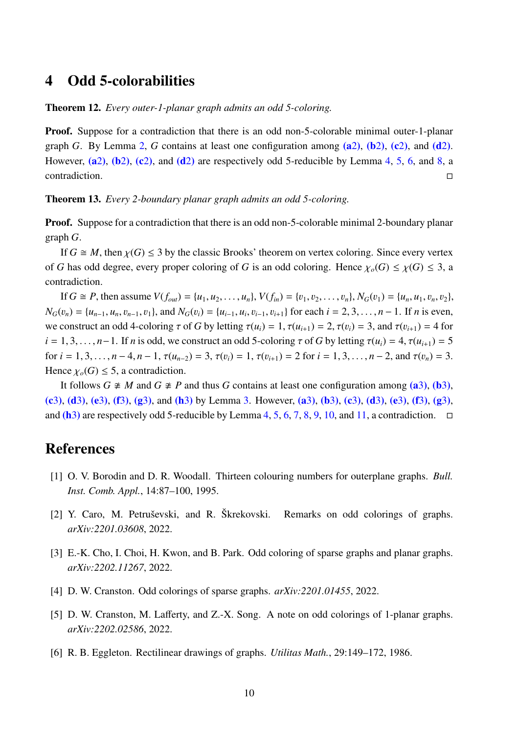### <span id="page-9-5"></span>4 Odd 5-colorabilities

Theorem 12. *Every outer-1-planar graph admits an odd 5-coloring.*

Proof. Suppose for a contradiction that there is an odd non-5-colorable minimal outer-1-planar graph *G*. By Lemma [2,](#page-2-1) *G* contains at least one configuration among ( $a$ [2](#page-2-1)),  $(b$ 2),  $(c$ 2), and  $(d$ 2). However,  $(a2)$  $(a2)$  $(a2)$ ,  $(b2)$  $(b2)$ ,  $(c2)$  $(c2)$ , and  $(d2)$  $(d2)$  are respectively odd 5-reducible by Lemma [4,](#page-5-1) [5,](#page-5-2) [6,](#page-6-1) and [8,](#page-6-2) a contradiction.

Theorem 13. *Every 2-boundary planar graph admits an odd 5-coloring.*

**Proof.** Suppose for a contradiction that there is an odd non-5-colorable minimal 2-boundary planar graph *G*.

If  $G \cong M$ , then  $\chi(G) \leq 3$  by the classic Brooks' theorem on vertex coloring. Since every vertex of *G* has odd degree, every proper coloring of *G* is an odd coloring. Hence  $\chi_o(G) \leq \chi(G) \leq 3$ , a contradiction.

If  $G \cong P$ , then assume  $V(f_{out}) = \{u_1, u_2, \dots, u_n\}$ ,  $V(f_{in}) = \{v_1, v_2, \dots, v_n\}$ ,  $N_G(v_1) = \{u_n, u_1, v_n, v_2\}$ ,  $N_G(v_n) = \{u_{n-1}, u_n, v_{n-1}, v_1\}$ , and  $N_G(v_i) = \{u_{i-1}, u_i, v_{i-1}, v_{i+1}\}$  for each  $i = 2, 3, ..., n-1$ . If *n* is even, we construct an odd 4-coloring  $\tau$  of *G* by letting  $\tau(u_i) = 1$ ,  $\tau(u_{i+1}) = 2$ ,  $\tau(v_i) = 3$ , and  $\tau(v_{i+1}) = 4$  for  $i = 1, 3, \ldots, n-1$ . If *n* is odd, we construct an odd 5-coloring  $\tau$  of *G* by letting  $\tau(u_i) = 4, \tau(u_{i+1}) = 5$ for  $i = 1, 3, ..., n - 4, n - 1, \tau(u_{n-2}) = 3, \tau(v_i) = 1, \tau(v_{i+1}) = 2$  for  $i = 1, 3, ..., n - 2$ , and  $\tau(v_n) = 3$ . Hence  $\chi_o(G) \leq 5$ , a contradiction.

It follows  $G \not\cong M$  and  $G \not\cong P$  and thus *G* contains at least one configuration among [\(a](#page-2-3)[3](#page-2-2)), [\(b](#page-2-4)3), [\(c](#page-2-5)[3](#page-2-2)), [\(d](#page-2-7)3), [\(e](#page-2-6)3), [\(f](#page-2-9)3), [\(g](#page-2-10)3), and [\(h](#page-2-8)3) by Lemma [3.](#page-2-2) However, [\(a](#page-2-3)3), [\(b](#page-2-4)3), (c3), (d3), (e3), (f3), (g3), and  $(h3)$  $(h3)$  $(h3)$  are respectively odd 5-reducible by Lemma [4,](#page-5-1) [5,](#page-5-2) [6,](#page-6-1) [7,](#page-6-0) [8,](#page-6-2) [9,](#page-7-0) [10,](#page-7-1) and [11,](#page-8-0) a contradiction.  $\Box$ 

## References

- <span id="page-9-6"></span>[1] O. V. Borodin and D. R. Woodall. Thirteen colouring numbers for outerplane graphs. *Bull. Inst. Comb. Appl.*, 14:87–100, 1995.
- <span id="page-9-2"></span>[2] Y. Caro, M. Petruševski, and R. Škrekovski. Remarks on odd colorings of graphs. *arXiv:2201.03608*, 2022.
- <span id="page-9-1"></span>[3] E.-K. Cho, I. Choi, H. Kwon, and B. Park. Odd coloring of sparse graphs and planar graphs. *arXiv:2202.11267*, 2022.
- <span id="page-9-0"></span>[4] D. W. Cranston. Odd colorings of sparse graphs. *arXiv:2201.01455*, 2022.
- <span id="page-9-3"></span>[5] D. W. Cranston, M. Lafferty, and Z.-X. Song. A note on odd colorings of 1-planar graphs. *arXiv:2202.02586*, 2022.
- <span id="page-9-4"></span>[6] R. B. Eggleton. Rectilinear drawings of graphs. *Utilitas Math.*, 29:149–172, 1986.